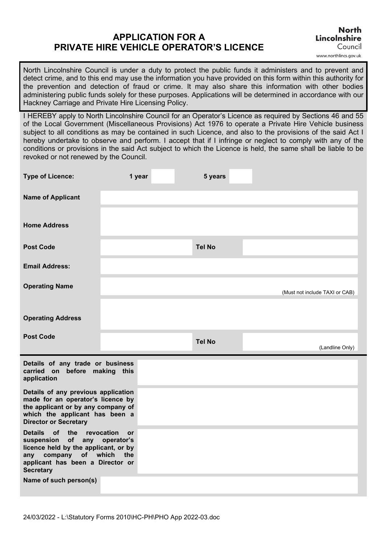# **APPLICATION FOR A PRIVATE HIRE VEHICLE OPERATOR'S LICENCE**

North Lincolnshire Council is under a duty to protect the public funds it administers and to prevent and detect crime, and to this end may use the information you have provided on this form within this authority for the prevention and detection of fraud or crime. It may also share this information with other bodies administering public funds solely for these purposes. Applications will be determined in accordance with our Hackney Carriage and Private Hire Licensing Policy.

I HEREBY apply to North Lincolnshire Council for an Operator's Licence as required by Sections 46 and 55 of the Local Government (Miscellaneous Provisions) Act 1976 to operate a Private Hire Vehicle business subject to all conditions as may be contained in such Licence, and also to the provisions of the said Act I hereby undertake to observe and perform. I accept that if I infringe or neglect to comply with any of the conditions or provisions in the said Act subject to which the Licence is held, the same shall be liable to be revoked or not renewed by the Council.

| <b>Type of Licence:</b>                                                                                                                                                          | 1 year                                       | 5 years       |                                |
|----------------------------------------------------------------------------------------------------------------------------------------------------------------------------------|----------------------------------------------|---------------|--------------------------------|
| <b>Name of Applicant</b>                                                                                                                                                         |                                              |               |                                |
| <b>Home Address</b>                                                                                                                                                              |                                              |               |                                |
| <b>Post Code</b>                                                                                                                                                                 |                                              | <b>Tel No</b> |                                |
| <b>Email Address:</b>                                                                                                                                                            |                                              |               |                                |
| <b>Operating Name</b>                                                                                                                                                            |                                              |               | (Must not include TAXI or CAB) |
| <b>Operating Address</b>                                                                                                                                                         |                                              |               |                                |
| <b>Post Code</b>                                                                                                                                                                 |                                              | <b>Tel No</b> | (Landline Only)                |
| Details of any trade or business<br>carried on before making this<br>application                                                                                                 |                                              |               |                                |
| Details of any previous application<br>made for an operator's licence by<br>the applicant or by any company of<br>which the applicant has been a<br><b>Director or Secretary</b> |                                              |               |                                |
| <b>Details</b><br>of the<br>of<br>suspension<br>any<br>licence held by the applicant, or by<br>company of which<br>any<br>applicant has been a Director or<br><b>Secretary</b>   | revocation<br><b>or</b><br>operator's<br>the |               |                                |
| Name of such person(s)                                                                                                                                                           |                                              |               |                                |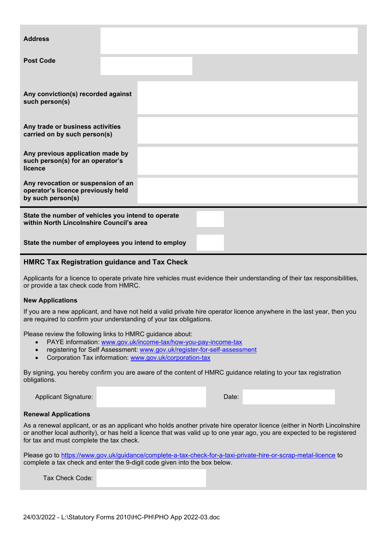| <b>Address</b>                                                                                 |  |  |  |  |
|------------------------------------------------------------------------------------------------|--|--|--|--|
| <b>Post Code</b>                                                                               |  |  |  |  |
| Any conviction(s) recorded against<br>such person(s)                                           |  |  |  |  |
| Any trade or business activities<br>carried on by such person(s)                               |  |  |  |  |
| Any previous application made by<br>such person(s) for an operator's<br>licence                |  |  |  |  |
| Any revocation or suspension of an<br>operator's licence previously held<br>by such person(s)  |  |  |  |  |
| State the number of vehicles you intend to operate<br>within North Lincolnshire Council's area |  |  |  |  |

**State the number of employees you intend to employ**

## **HMRC Tax Registration guidance and Tax Check**

Applicants for a licence to operate private hire vehicles must evidence their understanding of their tax responsibilities, or provide a tax check code from HMRC.

## **New Applications**

If you are a new applicant, and have not held a valid private hire operator licence anywhere in the last year, then you are required to confirm your understanding of your tax obligations.

Please review the following links to HMRC guidance about:

- PAYE information: [www.gov.uk/income-tax/how-you-pay-income-tax](http://www.gov.uk/income-tax/how-you-pay-income-tax)
- registering for Self Assessment: [www.gov.uk/register-for-self-assessment](http://www.gov.uk/register-for-self-assessment)
- Corporation Tax information: [www.gov.uk/corporation-tax](http://www.gov.uk/corporation-tax)

By signing, you hereby confirm you are aware of the content of HMRC guidance relating to your tax registration obligations.

Applicant Signature: Date: Date: Date: Date: Date: Date: Date: Date: Date: Date: Date: Date: Date: Date: Date: Date: Date: Date: Date: Date: Date: Date: Date: Date: Date: Date: Date: Date: Date: Date: Date: Date: Date: Dat

### **Renewal Applications**

As a renewal applicant, or as an applicant who holds another private hire operator licence (either in North Lincolnshire or another local authority), or has held a licence that was valid up to one year ago, you are expected to be registered for tax and must complete the tax check.

Please go to<https://www.gov.uk/guidance/complete-a-tax-check-for-a-taxi-private-hire-or-scrap-metal-licence> to complete a tax check and enter the 9-digit code given into the box below.

Tax Check Code: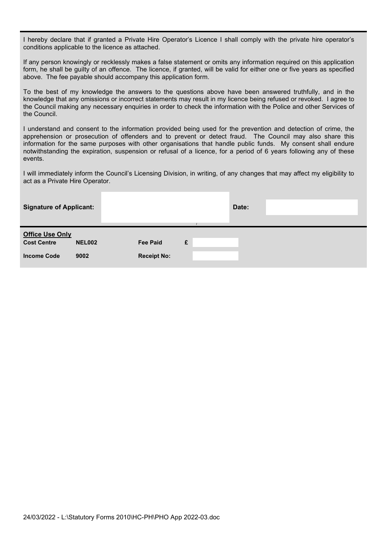I hereby declare that if granted a Private Hire Operator's Licence I shall comply with the private hire operator's conditions applicable to the licence as attached.

If any person knowingly or recklessly makes a false statement or omits any information required on this application form, he shall be guilty of an offence. The licence, if granted, will be valid for either one or five years as specified above. The fee payable should accompany this application form.

To the best of my knowledge the answers to the questions above have been answered truthfully, and in the knowledge that any omissions or incorrect statements may result in my licence being refused or revoked. I agree to the Council making any necessary enquiries in order to check the information with the Police and other Services of the Council.

I understand and consent to the information provided being used for the prevention and detection of crime, the apprehension or prosecution of offenders and to prevent or detect fraud. The Council may also share this information for the same purposes with other organisations that handle public funds. My consent shall endure notwithstanding the expiration, suspension or refusal of a licence, for a period of 6 years following any of these events.

I will immediately inform the Council's Licensing Division, in writing, of any changes that may affect my eligibility to act as a Private Hire Operator.

| <b>Signature of Applicant:</b>                                     |                       |                                       |   | Date: |  |
|--------------------------------------------------------------------|-----------------------|---------------------------------------|---|-------|--|
| <b>Office Use Only</b><br><b>Cost Centre</b><br><b>Income Code</b> | <b>NEL002</b><br>9002 | <b>Fee Paid</b><br><b>Receipt No:</b> | £ |       |  |